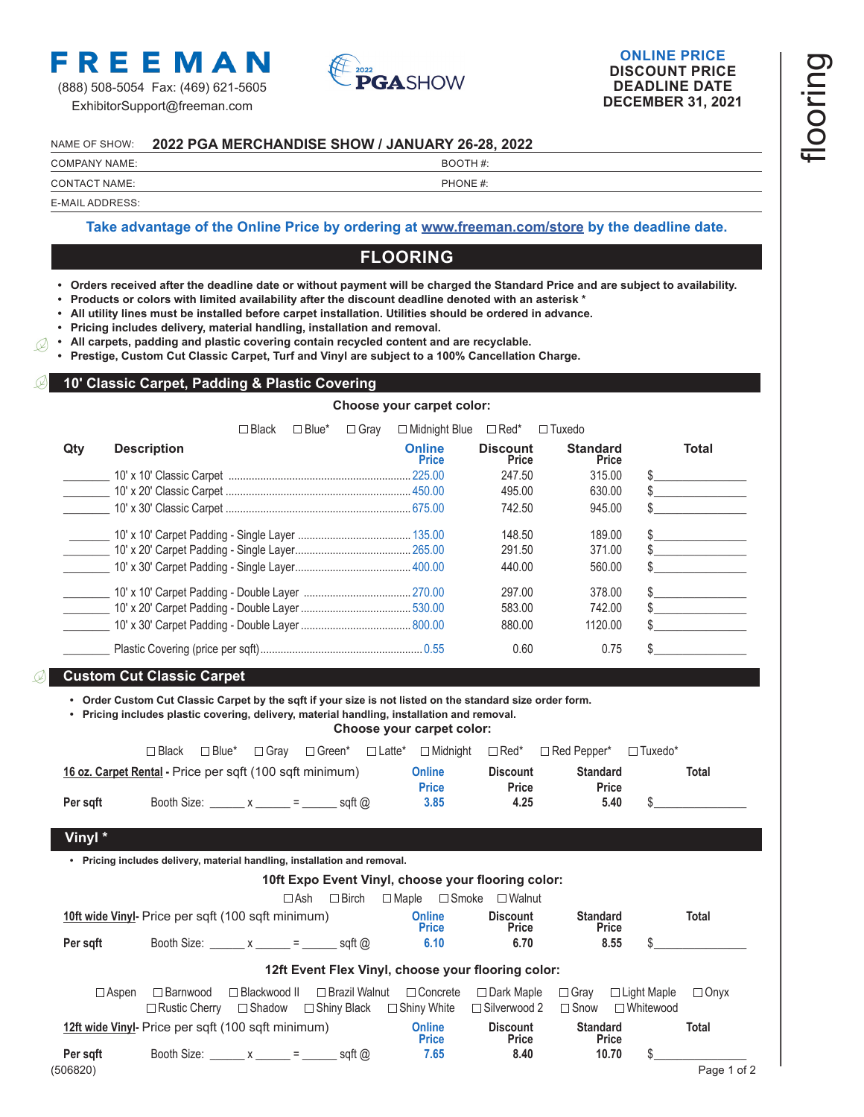

(888) 508-5054 Fax: (469) 621-5605 ExhibitorSupport@freeman.com



### **ONLINE PRICE DISCOUNT PRICE DEADLINE DATE DECEMBER 31, 2021**

#### NAME OF SHOW: **2022 PGA MERCHANDISE SHOW / JANUARY 26-28, 2022**

## COMPANY NAME: SALE IN THE SERVICE OF THE SERVICE IN THE BOOTH #:

# CONTACT NAME:  $\qquad \qquad \qquad$  PHONE #:

E-MAIL ADDRESS:

### **Take advantage of the Online Price by ordering a[t www.freeman.com/store b](https://www.freemanco.com/store?utm_source=Forms&utm_medium=PDF)y the deadline date.**

# **FLOORING**

- **• Orders received after the deadline date or without payment will be charged the Standard Price and are subject to availability.**
- **• Products or colors with limited availability after the discount deadline denoted with an asterisk \***
- **• All utility lines must be installed before carpet installation. Utilities should be ordered in advance.**
- **• Pricing includes delivery, material handling, installation and removal.**
- **• All carpets, padding and plastic covering contain recycled content and are recyclable.**  $\varnothing$

**• Prestige, Custom Cut Classic Carpet, Turf and Vinyl are subject to a 100% Cancellation Charge.**

#### **10' Classic Carpet, Padding & Plastic Covering**

**Choose your carpet color:**

|     |                    | ⊐ Black | $\Box$ Blue* | $\Box$ Grav | □ Midnight Blue               | $\Box$ Red*              | $\Box$ Tuxedo            |       |
|-----|--------------------|---------|--------------|-------------|-------------------------------|--------------------------|--------------------------|-------|
| Qtv | <b>Description</b> |         |              |             | <b>Online</b><br><b>Price</b> | <b>Discount</b><br>Price | <b>Standard</b><br>Price | Total |
|     |                    |         |              |             |                               | 247.50                   | 315.00                   |       |
|     |                    |         |              |             |                               | 495.00                   | 630.00                   |       |
|     |                    |         |              |             |                               | 742.50                   | 945.00                   |       |
|     |                    |         |              |             |                               | 148.50                   | 189.00                   |       |
|     |                    |         |              |             |                               | 291.50                   | 371.00                   |       |
|     |                    |         |              |             |                               | 440.00                   | 560.00                   |       |
|     |                    |         |              |             |                               | 297.00                   | 378.00                   |       |
|     |                    |         |              |             |                               | 583.00                   | 742.00                   |       |
|     |                    |         |              |             |                               | 880.00                   | 1120.00                  |       |
|     |                    |         |              |             |                               | 0.60                     | 0.75                     |       |

## **Custom Cut Classic Carpet**

**• Order Custom Cut Classic Carpet by the sqft if your size is not listed on the standard size order form.**

**• Pricing includes plastic covering, delivery, material handling, installation and removal.**

**Choose your carpet color:**

|                                                          | ⊐ Black | $\Box$ Blue*                     | $\Box$ Gray |        |  |                        |                          | □ Green* □ Latte* □ Midnight □ Red* □ Red Pepper* | $\Box$ Tuxedo* |       |
|----------------------------------------------------------|---------|----------------------------------|-------------|--------|--|------------------------|--------------------------|---------------------------------------------------|----------------|-------|
| 16 oz. Carpet Rental - Price per sqft (100 sqft minimum) |         |                                  |             |        |  | Online<br><b>Price</b> | <b>Discount</b><br>Price | <b>Standard</b><br>Price                          |                | Total |
| Per sqft                                                 |         | Booth Size: $x \overline{y} = 1$ |             | sgft @ |  | 3.85                   | 4.25                     | 5.40                                              |                |       |
| Vinyl *                                                  |         |                                  |             |        |  |                        |                          |                                                   |                |       |

**• Pricing includes delivery, material handling, installation and removal.**

|              |                                                                               |                |                                                                               |                                       | 10ft Expo Event Vinyl, choose your flooring color: |                                 |                                   |              |
|--------------|-------------------------------------------------------------------------------|----------------|-------------------------------------------------------------------------------|---------------------------------------|----------------------------------------------------|---------------------------------|-----------------------------------|--------------|
|              |                                                                               |                | $\Box$ Birch<br>$\Box$ Ash                                                    | $\Box$ Smoke<br>$\Box$ Maple          | $\Box$ Walnut                                      |                                 |                                   |              |
|              | 10ft wide Vinyl- Price per sqft (100 sqft minimum)                            |                |                                                                               | <b>Online</b><br><b>Price</b>         | <b>Discount</b><br>Price                           | <b>Standard</b><br><b>Price</b> |                                   | <b>Total</b> |
| Per sgft     | Booth Size: $x \overline{\phantom{a}} = \overline{\phantom{a}}$ sqft $\omega$ |                |                                                                               | 6.10                                  | 6.70                                               | 8.55                            |                                   |              |
|              |                                                                               |                |                                                                               |                                       | 12ft Event Flex Vinyl, choose your flooring color: |                                 |                                   |              |
| $\Box$ Aspen | $\square$ Barnwood<br>$\Box$ Rustic Cherry                                    | □ Blackwood II | □ Brazil Walnut<br>$\Box$ Shadow $\Box$ Shiny Black                           | $\Box$ Concrete<br>$\Box$ Shiny White | $\Box$ Dark Maple<br>$\Box$ Silverwood 2           | $\Box$ Gray<br>$\Box$ Snow      | $\Box$ Light Maple<br>□ Whitewood | $\Box$ Onyx  |
|              | 12ft wide Vinyl- Price per sqft (100 sqft minimum)                            |                |                                                                               | <b>Online</b><br><b>Price</b>         | <b>Discount</b><br>Price                           | <b>Standard</b><br>Price        |                                   | <b>Total</b> |
| Per sgft     |                                                                               |                | Booth Size: $x \overline{\phantom{a}} = \overline{\phantom{a}}$ sqft $\omega$ | 7.65                                  | 8.40                                               | 10.70                           |                                   |              |
| (506820)     |                                                                               |                |                                                                               |                                       |                                                    |                                 |                                   | Page 1 of 2  |